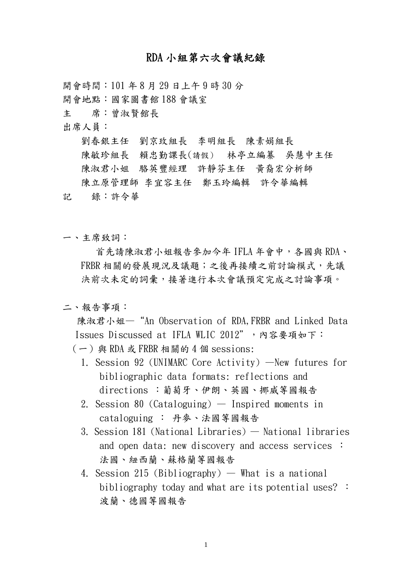## RDA 小組第六次會議紀錄

開會時間: 101 年8月29日上午9時30分 開會地點:國家圖書館 188 會議室

主 席:曾淑賢館長

出席人員:

劉春銀主任 劉京玫組長 李明組長 陳素娟組長

陳敏珍組長 賴忠勤課長(請假) 林亭立編纂 吳慧中主任

陳淑君小姐 駱英豐經理 許靜芬主任 黃裔宏分析師

陳立原管理師 李宜容主任 鄭玉玲編輯 許令華編輯

- 記 錄:許令華
- 一、主席致詞:

 首先請陳淑君小姐報告參加今年 IFLA 年會中,各國與 RDA、 FRBR 相關的發展現況及議題;之後再接續之前討論模式,先議 決前次未定的詞彙,接著進行本次會議預定完成之討論事項。

## 二、報告事項:

陳淑君小姐—"An Observation of RDA,FRBR and Linked Data Issues Discussed at IFLA WLIC 2012",内容要項如下:

- $(-)$  與 RDA 或 FRBR 相關的 4 個 sessions:
	- 1. Session 92 (UNIMARC Core Activity) —New futures for bibliographic data formats: reflections and directions :葡萄牙、伊朗、英國、挪威等國報告
	- 2. Session 80 (Cataloguing) Inspired moments in cataloguing : 丹麥、法國等國報告
	- 3. Session 181 (National Libraries) National libraries and open data: new discovery and access services : 法國、紐西蘭、蘇格蘭等國報告
	- 4. Session 215 (Bibliography) What is a national bibliography today and what are its potential uses? : 波蘭、德國等國報告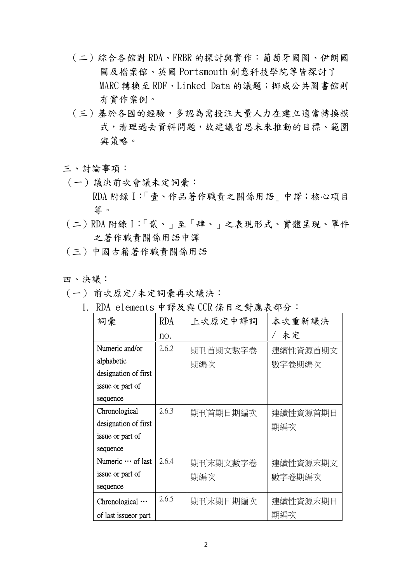- (二)綜合各館對 RDA、FRBR 的探討與實作:葡萄牙國圖、伊朗國 圖及檔案館、英國 Portsmouth 創意科技學院等皆探討了 MARC 轉換至 RDF、Linked Data 的議題;挪威公共圖書館則 有實作案例。
- (三)基於各國的經驗,多認為需投注大量人力在建立適當轉換模 式,清理過去資料問題,故建議省思未來推動的目標、範圍 與策略。

## 三、討論事項:

- (一)議決前次會議未定詞彙:
	- RDA 附錄 I:「壹、作品著作職責之關係用語」中譯;核心項目 等。
- (二)RDA 附錄 I:「貳、」至「肆、」之表現形式、實體呈現、單件 之著作職責關係用語中譯
- (三)中國古籍著作職責關係用語
- 四、決議:
- (一) 前次原定/未定詞彙再次議決:
	- 1. RDA elements 中譯及與 CCR 條目之對應表部分:

| 詞彙                     | RDA   | 上次原定中譯詞  | 本次重新議決   |
|------------------------|-------|----------|----------|
|                        | no.   |          | 未定       |
| Numeric and/or         | 2.6.2 | 期刊首期文數字卷 | 連續性資源首期文 |
| alphabetic             |       | 期編次      | 數字卷期編次   |
| designation of first   |       |          |          |
| issue or part of       |       |          |          |
| sequence               |       |          |          |
| Chronological          | 2.6.3 | 期刊首期日期編次 | 連續性資源首期日 |
| designation of first   |       |          | 期編次      |
| issue or part of       |       |          |          |
| sequence               |       |          |          |
| Numeric  of last       | 2.6.4 | 期刊末期文數字卷 | 連續性資源末期文 |
| issue or part of       |       | 期編次      | 數字卷期編次   |
| sequence               |       |          |          |
| Chronological $\cdots$ | 2.6.5 | 期刊末期日期編次 | 連續性資源末期日 |
| of last issue or part  |       |          | 期編次      |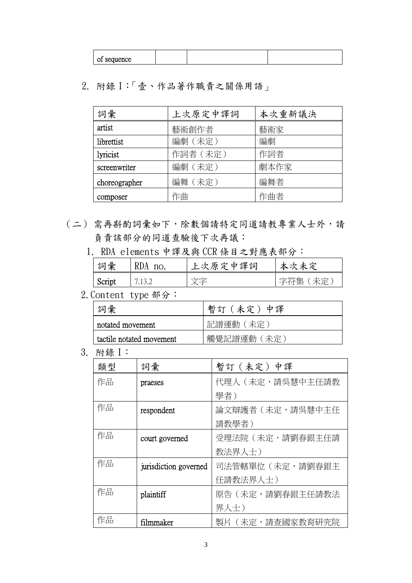2. 附錄 I:「壹、作品著作職責之關係用語」

| 詞彙            | 上次原定中譯詞  | 本次重新議決 |
|---------------|----------|--------|
| artist        | 藝術創作者    | 藝術家    |
| librettist    | 編劇 (未定)  | 編劇     |
| lyricist      | 作詞者 (未定) | 作詞者    |
| screenwriter  | 編劇 (未定)  | 劇本作家   |
| choreographer | 編舞 (未定)  | 編舞者    |
| composer      | 作曲       | 作曲者    |

- (二) 需再斟酌詞彙如下,除數個請特定同道請教專業人士外,請 負責該部分的同道查驗後下次再議:
	- 1. RDA elements 中譯及與 CCR 條目之對應表部分:

| 詞彙 | 'I)A<br>$n_{\Omega}$ | 上次原定中譯詞 | 本次未定 |
|----|----------------------|---------|------|
|    |                      |         |      |

2.Content type 部分:

| 彙<br>詞                   | 暫訂(未定)中譯       |
|--------------------------|----------------|
| notated movement         | 記譜運動(未定)       |
| tactile notated movement | 觸覺記譜運動<br>(未完) |

3. 附錄 I:

| 類型 | 詞彙                    | 暫訂 (未定) 中譯       |
|----|-----------------------|------------------|
| 作品 | praeses               | 代理人 (未定,請吳慧中主任請教 |
|    |                       | 學者)              |
| 作品 | respondent            | 論文辯護者(未定,請吳慧中主任  |
|    |                       | 請教學者)            |
| 作品 | court governed        | 受理法院(未定,請劉春銀主任請  |
|    |                       | 教法界人士)           |
| 作品 | jurisdiction governed | 司法管轄單位(未定,請劉春銀主  |
|    |                       | 任請教法界人士)         |
| 作品 | plaintiff             | 原告 (未定,請劉春銀主任請教法 |
|    |                       | 界人士)             |
| 作品 | filmmaker             | 製片(未定,請查國家教育研究院  |